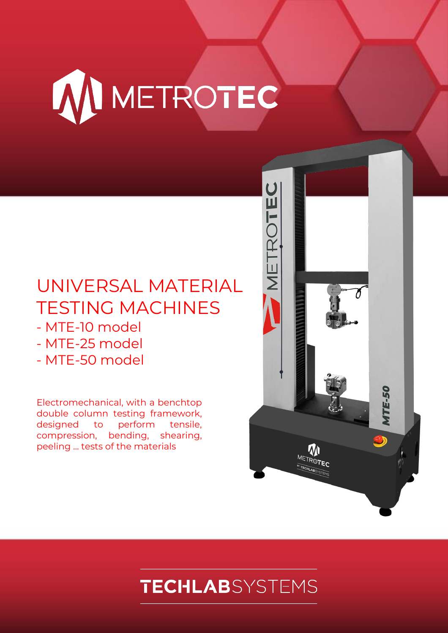

# UNIVERSAL MATERIAL TESTING MACHINES

- MTE-10 model
- MTE-25 model
- MTE-50 model

Electromechanical, with a benchtop double column testing framework, designed to perform tensile, compression, bending, shearing, peeling ... tests of the materials



# **TECHLAB**SYSTEMS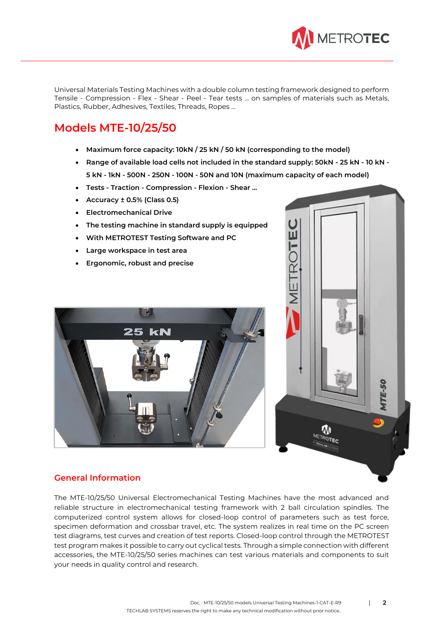

Universal Materials Testing Machines with a double column testing framework designed to perform Tensile - Compression - Flex - Shear - Peel - Tear tests ... on samples of materials such as Metals, Plastics, Rubber, Adhesives, Textiles, Threads, Ropes …

# **Models MTE-10/25/50**

- **Maximum force capacity: 10kN / 25 kN / 50 kN (corresponding to the model)**
- **Range of available load cells not included in the standard supply: 50kN - 25 kN - 10 kN - 5 kN - 1kN - 500N - 250N - 100N - 50N and 10N (maximum capacity of each model)**
- **Tests - Traction - Compression - Flexion - Shear ...**
- **Accuracy ± 0.5% (Class 0.5)**
- **Electromechanical Drive**
- **The testing machine in standard supply is equipped**
- **With METROTEST Testing Software and PC**
- **Large workspace in test area**
- **Ergonomic, robust and precise**





# **General Information**

The MTE-10/25/50 Universal Electromechanical Testing Machines have the most advanced and reliable structure in electromechanical testing framework with 2 ball circulation spindles. The computerized control system allows for closed-loop control of parameters such as test force, specimen deformation and crossbar travel, etc. The system realizes in real time on the PC screen test diagrams, test curves and creation of test reports. Closed-loop control through the METROTEST test program makes it possible to carry out cyclical tests. Through a simple connection with different accessories, the MTE-10/25/50 series machines can test various materials and components to suit your needs in quality control and research.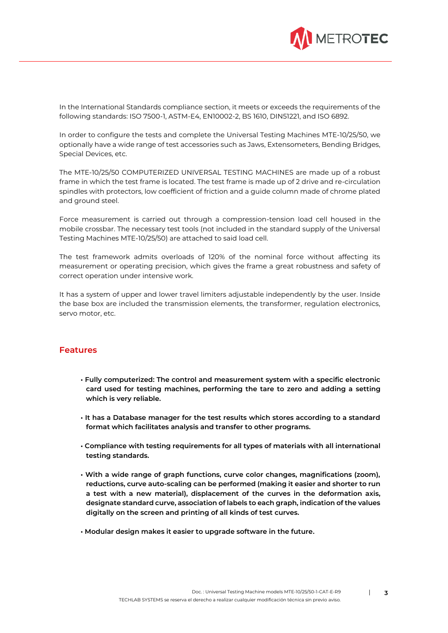

In the International Standards compliance section, it meets or exceeds the requirements of the following standards: ISO 7500-1, ASTM-E4, EN10002-2, BS 1610, DIN51221, and ISO 6892.

In order to configure the tests and complete the Universal Testing Machines MTE-10/25/50, we optionally have a wide range of test accessories such as Jaws, Extensometers, Bending Bridges, Special Devices, etc.

The MTE-10/25/50 COMPUTERIZED UNIVERSAL TESTING MACHINES are made up of a robust frame in which the test frame is located. The test frame is made up of 2 drive and re-circulation spindles with protectors, low coefficient of friction and a guide column made of chrome plated and ground steel.

Force measurement is carried out through a compression-tension load cell housed in the mobile crossbar. The necessary test tools (not included in the standard supply of the Universal Testing Machines MTE-10/25/50) are attached to said load cell.

The test framework admits overloads of 120% of the nominal force without affecting its measurement or operating precision, which gives the frame a great robustness and safety of correct operation under intensive work.

It has a system of upper and lower travel limiters adjustable independently by the user. Inside the base box are included the transmission elements, the transformer, regulation electronics, servo motor, etc.

### **Features**

- **Fully computerized: The control and measurement system with a specific electronic card used for testing machines, performing the tare to zero and adding a setting which is very reliable.**
- **It has a Database manager for the test results which stores according to a standard format which facilitates analysis and transfer to other programs.**
- **Compliance with testing requirements for all types of materials with all international testing standards.**
- **With a wide range of graph functions, curve color changes, magnifications (zoom), reductions, curve auto-scaling can be performed (making it easier and shorter to run a test with a new material), displacement of the curves in the deformation axis, designate standard curve, association of labels to each graph, indication of the values digitally on the screen and printing of all kinds of test curves.**
- **Modular design makes it easier to upgrade software in the future.**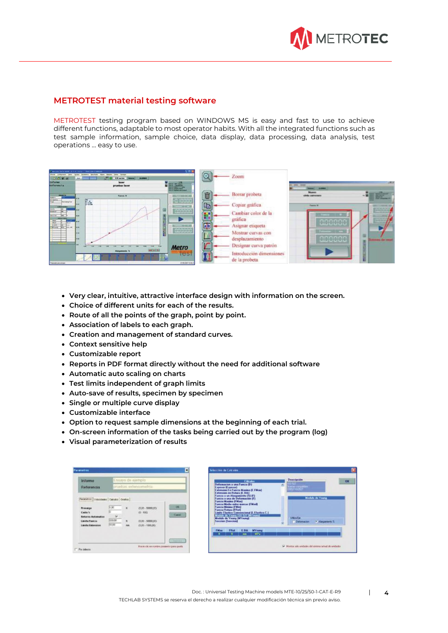

## **METROTEST material testing software**

METROTEST testing program based on WINDOWS MS is easy and fast to use to achieve different functions, adaptable to most operator habits. With all the integrated functions such as test sample information, sample choice, data display, data processing, data analysis, test operations ... easy to use.



- **Very clear, intuitive, attractive interface design with information on the screen.**
- **Choice of different units for each of the results.**
- **Route of all the points of the graph, point by point.**
- **Association of labels to each graph.**
- **Creation and management of standard curves.**
- **Context sensitive help**
- **Customizable report**
- **Reports in PDF format directly without the need for additional software**
- **Automatic auto scaling on charts**
- **Test limits independent of graph limits**
- **Auto-save of results, specimen by specimen**
- **Single or multiple curve display**
- **Customizable interface**
- **Option to request sample dimensions at the beginning of each trial.**
- **On-screen information of the tasks being carried out by the program (log)**
- **Visual parameterization of results**

| <b>Informe</b><br>Referencia                                                                                                                   | Ensayo de ejemplo                                              |                        | pruebas extensometria                                                           |                    |           | <b>Cálculos</b><br>Deformacion a una Fuerza (D)<br>Expesor (Expesor)<br>Extension En Fuerza Maxima (E.FMax)                                                                                                                                                                                                                                   |                |                                              | Descripción<br>Horresta de Calif<br>EMASTROSSY |                                           |                                         |  |
|------------------------------------------------------------------------------------------------------------------------------------------------|----------------------------------------------------------------|------------------------|---------------------------------------------------------------------------------|--------------------|-----------|-----------------------------------------------------------------------------------------------------------------------------------------------------------------------------------------------------------------------------------------------------------------------------------------------------------------------------------------------|----------------|----------------------------------------------|------------------------------------------------|-------------------------------------------|-----------------------------------------|--|
| Parentmi Velosiales   Caloito   Onito  <br>Precarga<br>Caida %<br><b>Betorno Automatico</b><br><b>Limite Fuerza</b><br><b>Limite Extension</b> | 1,00<br>×<br>600,00<br><b><i><u>PERSONAL</u></i></b><br>100,00 | w<br>H.<br><b>Vall</b> | $(0.00 - 50000.001)$<br>$(0 - 100)$<br>(7,00 - 50030,001)<br>$(0.00 - 1000.00)$ | <b>DK</b><br>Cussi |           | Extension en Rotura (E.Brk)<br>Fuecza a un Alarganiento (2) (F)<br>Fuecza a una de Deformación (F)<br><b>Fuerza Maxima (FMax)</b><br><b>Fuerza Modia entre marcas (FMod)</b><br><b>Fuerza Minima (FMin)</b><br><b>Fuecca Rotura (FRot)</b><br>Medule de Young ISO 527 (MYsunn)<br><b>Medule de Young (MYoung)</b><br><b>Seccion (Seccion)</b> |                | Linde Elastice Convencional (L. Elastica C.) |                                                | <b>Utiliza Exc.</b><br><b>Deferracion</b> | <b>Hodulo de Young</b><br>Alaquations 3 |  |
|                                                                                                                                                |                                                                |                        |                                                                                 |                    | FMag<br>W | Fflot                                                                                                                                                                                                                                                                                                                                         | E.Bok<br>$n =$ | <b>MY</b> oung<br>MPa                        |                                                |                                           |                                         |  |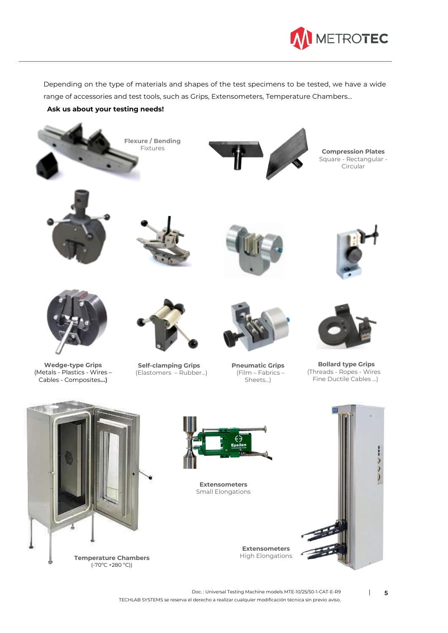

Depending on the type of materials and shapes of the test specimens to be tested, we have a wide range of accessories and test tools, such as Grips, Extensometers, Temperature Chambers...

### **Ask us about your testing needs!**



Doc. : Universal Testing Machine models MTE-10/25/50-1-CAT-E-R9 | 5 TECHLAB SYSTEMS se reserva el derecho a realizar cualquier modificación técnica sin previo aviso.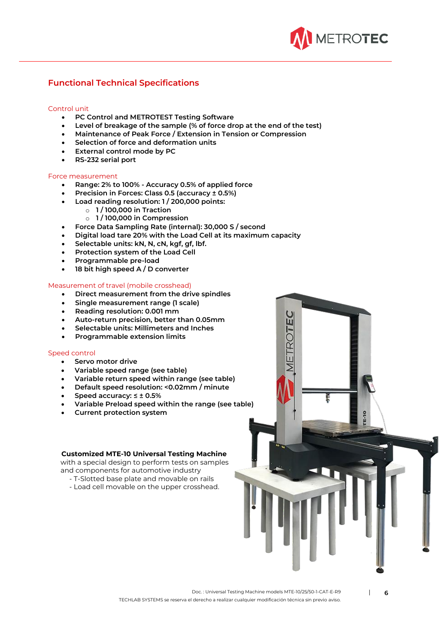

# **Functional Technical Specifications**

#### Control unit

- **PC Control and METROTEST Testing Software**
- **Level of breakage of the sample (% of force drop at the end of the test)**
- **Maintenance of Peak Force / Extension in Tension or Compression**
- **Selection of force and deformation units**
- **External control mode by PC**
- **RS-232 serial port**

#### Force measurement

- **Range: 2% to 100% - Accuracy 0.5% of applied force**
- **Precision in Forces: Class 0.5 (accuracy ± 0.5%)**
- **Load reading resolution: 1 / 200,000 points:**
	- o **1 / 100,000 in Traction**
	- o **1 / 100,000 in Compression**
- **Force Data Sampling Rate (internal): 30,000 S / second**
- **Digital load tare 20% with the Load Cell at its maximum capacity**
- **Selectable units: kN, N, cN, kgf, gf, lbf.**
- **Protection system of the Load Cell**
- **Programmable pre-load**
- **18 bit high speed A / D converter**

#### Measurement of travel (mobile crosshead)

- **Direct measurement from the drive spindles**
- **Single measurement range (1 scale)**
- **Reading resolution: 0.001 mm**
- **Auto-return precision, better than 0.05mm**
- **Selectable units: Millimeters and Inches**
- **Programmable extension limits**

#### Speed control

- **Servo motor drive**
- **Variable speed range (see table)**
- **Variable return speed within range (see table)**
- **Default speed resolution: <0.02mm / minute**
- **Speed accuracy: ≤ ± 0.5%**
- **Variable Preload speed within the range (see table)**
- **Current protection system**

#### **Customized MTE-10 Universal Testing Machine**

 with a special design to perform tests on samples and components for automotive industry

- T-Slotted base plate and movable on rails
- Load cell movable on the upper crosshead.



ŭ